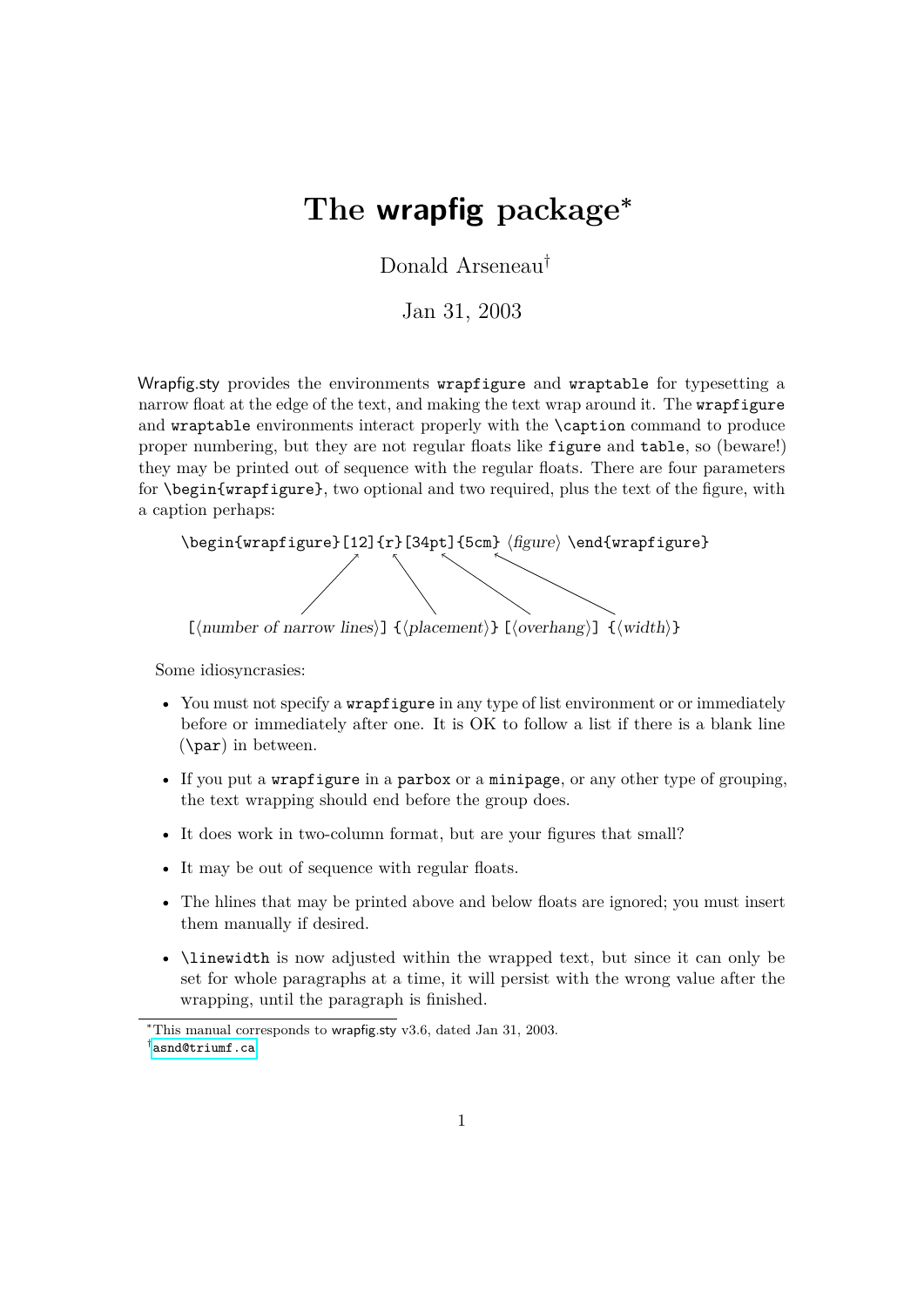# **The wrapfig package<sup>∗</sup>**

Donald Arseneau†

Jan 31, 2003

Wrapfig.sty provides the environments wrapfigure and wraptable for typesetting a narrow float at the edge of the text, and making the text wrap around it. The wrapfigure and wraptable environments interact properly with the \caption command to produce proper numbering, but they are not regular floats like figure and table, so (beware!) they may be printed out of sequence with the regular floats. There are four parameters for \begin{wrapfigure}, two optional and two required, plus the text of the figure, with a caption perhaps:

\begin{wrapfigure}[12]{r}[34pt]{5cm}  $\langle$  figure $\rangle \setminus$ 

 $[\langle number \space of \space narrow \space lines \rangle] \ \{\langle placement \rangle\} \ [\langle overlap \rangle] \ \{\langle width \rangle\}$ 

Some idiosyncrasies:

- You must not specify a **wrapfigure** in any type of list environment or or immediately before or immediately after one. It is OK to follow a list if there is a blank line (\par) in between.
- If you put a wrapfigure in a parbox or a minipage, or any other type of grouping, the text wrapping should end before the group does.
- It does work in two-column format, but are your figures that small?
- It may be out of sequence with regular floats.
- The hlines that may be printed above and below floats are ignored; you must insert them manually if desired.
- \linewidth is now adjusted within the wrapped text, but since it can only be set for whole paragraphs at a time, it will persist with the wrong value after the wrapping, until the paragraph is finished.

<sup>∗</sup>This manual corresponds to wrapfig.sty v3.6, dated Jan 31, 2003. † [asnd@triumf.ca](mailto:asnd@triumf.ca)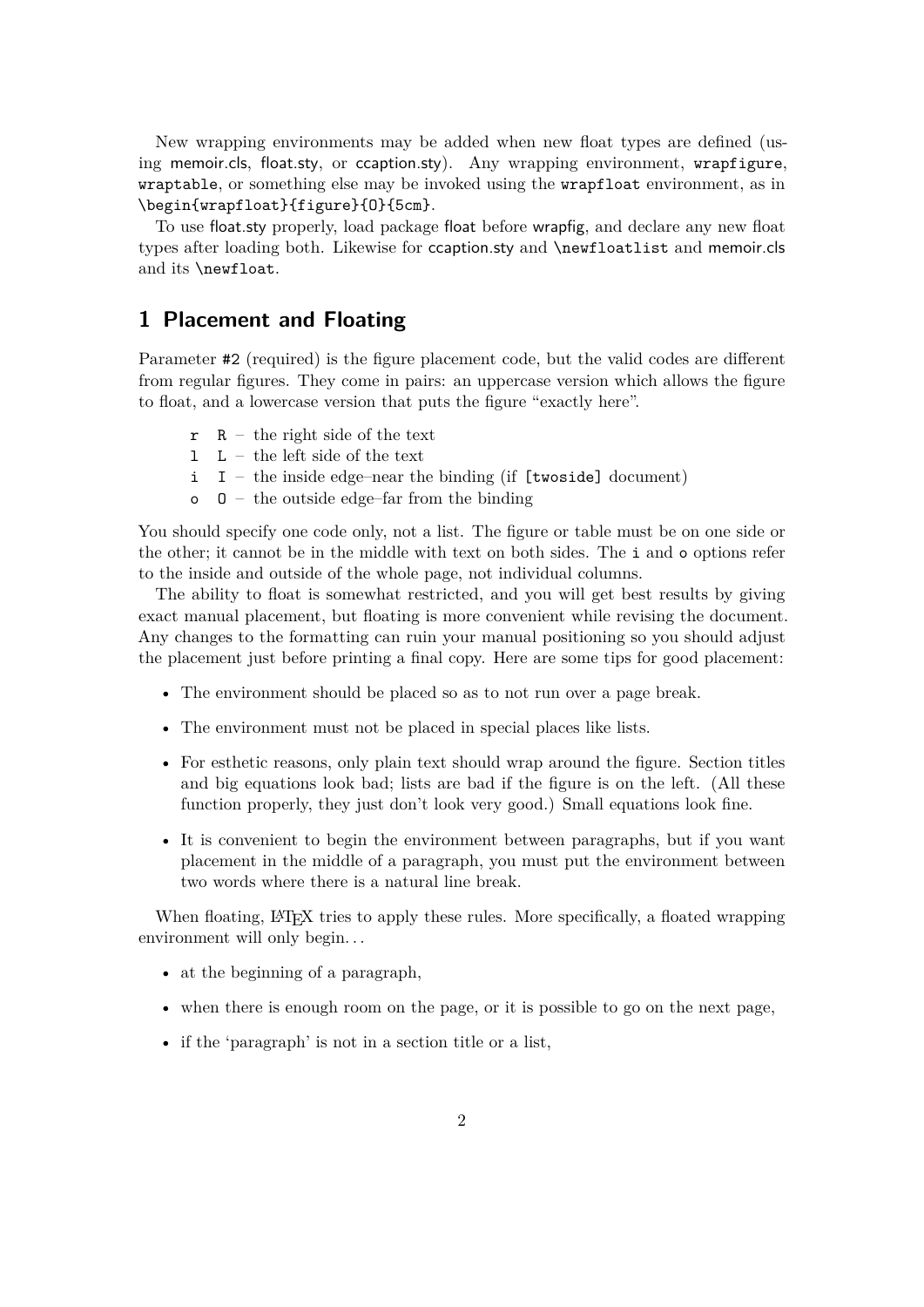New wrapping environments may be added when new float types are defined (using memoir.cls, float.sty, or ccaption.sty). Any wrapping environment, wrapfigure, wraptable, or something else may be invoked using the wrapfloat environment, as in \begin{wrapfloat}{figure}{O}{5cm}.

To use float.sty properly, load package float before wrapfig, and declare any new float types after loading both. Likewise for ccaption.sty and \newfloatlist and memoir.cls and its \newfloat.

## **1 Placement and Floating**

Parameter #2 (required) is the figure placement code, but the valid codes are different from regular figures. They come in pairs: an uppercase version which allows the figure to float, and a lowercase version that puts the figure "exactly here".

- $r$  R the right side of the text
- l L the left side of the text
- $i$  I the inside edge–near the binding (if [twoside] document)
- $\circ$  0 the outside edge–far from the binding

You should specify one code only, not a list. The figure or table must be on one side or the other; it cannot be in the middle with text on both sides. The i and o options refer to the inside and outside of the whole page, not individual columns.

The ability to float is somewhat restricted, and you will get best results by giving exact manual placement, but floating is more convenient while revising the document. Any changes to the formatting can ruin your manual positioning so you should adjust the placement just before printing a final copy. Here are some tips for good placement:

- The environment should be placed so as to not run over a page break.
- The environment must not be placed in special places like lists.
- For esthetic reasons, only plain text should wrap around the figure. Section titles and big equations look bad; lists are bad if the figure is on the left. (All these function properly, they just don't look very good.) Small equations look fine.
- It is convenient to begin the environment between paragraphs, but if you want placement in the middle of a paragraph, you must put the environment between two words where there is a natural line break.

When floating, LATEX tries to apply these rules. More specifically, a floated wrapping environment will only begin. . .

- at the beginning of a paragraph,
- when there is enough room on the page, or it is possible to go on the next page,
- if the 'paragraph' is not in a section title or a list,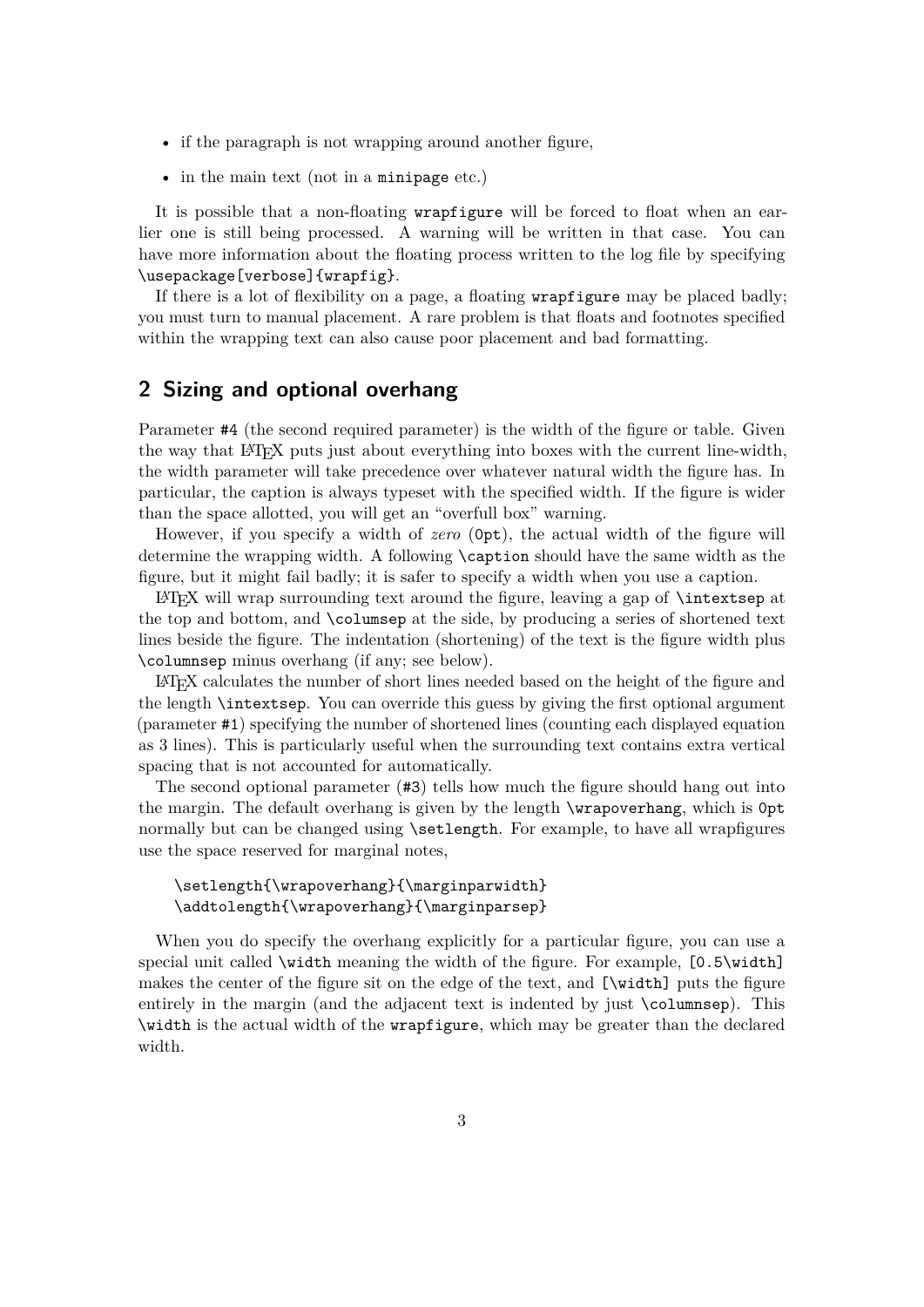- if the paragraph is not wrapping around another figure,
- in the main text (not in a minipage etc.)

It is possible that a non-floating wrapfigure will be forced to float when an earlier one is still being processed. A warning will be written in that case. You can have more information about the floating process written to the log file by specifying \usepackage[verbose]{wrapfig}.

If there is a lot of flexibility on a page, a floating wrapfigure may be placed badly; you must turn to manual placement. A rare problem is that floats and footnotes specified within the wrapping text can also cause poor placement and bad formatting.

### **2 Sizing and optional overhang**

Parameter #4 (the second required parameter) is the width of the figure or table. Given the way that LATEX puts just about everything into boxes with the current line-width, the width parameter will take precedence over whatever natural width the figure has. In particular, the caption is always typeset with the specified width. If the figure is wider than the space allotted, you will get an "overfull box" warning.

However, if you specify a width of *zero* (0pt), the actual width of the figure will determine the wrapping width. A following \caption should have the same width as the figure, but it might fail badly; it is safer to specify a width when you use a caption.

 $\Delta$ TeX will wrap surrounding text around the figure, leaving a gap of  $\intercal$  intextsep at the top and bottom, and \columsep at the side, by producing a series of shortened text lines beside the figure. The indentation (shortening) of the text is the figure width plus \columnsep minus overhang (if any; see below).

LATEX calculates the number of short lines needed based on the height of the figure and the length \intextsep. You can override this guess by giving the first optional argument (parameter #1) specifying the number of shortened lines (counting each displayed equation as 3 lines). This is particularly useful when the surrounding text contains extra vertical spacing that is not accounted for automatically.

The second optional parameter (#3) tells how much the figure should hang out into the margin. The default overhang is given by the length \wrapoverhang, which is 0pt normally but can be changed using \setlength. For example, to have all wrapfigures use the space reserved for marginal notes,

#### \setlength{\wrapoverhang}{\marginparwidth} \addtolength{\wrapoverhang}{\marginparsep}

When you do specify the overhang explicitly for a particular figure, you can use a special unit called \width meaning the width of the figure. For example, [0.5\width] makes the center of the figure sit on the edge of the text, and [\width] puts the figure entirely in the margin (and the adjacent text is indented by just \columnsep). This \width is the actual width of the wrapfigure, which may be greater than the declared width.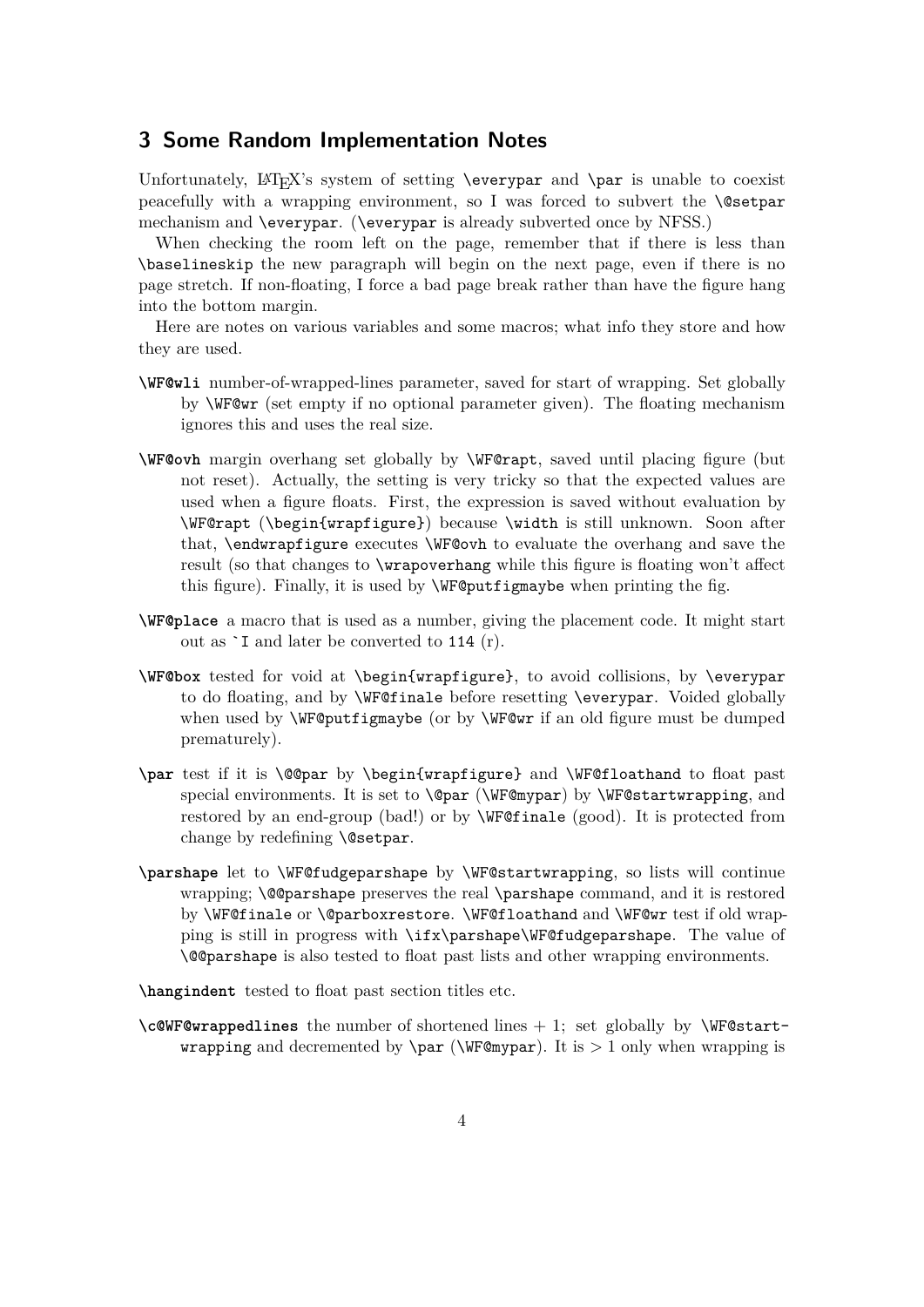### **3 Some Random Implementation Notes**

Unfortunately,  $L\nu_{\text{FX's system of setting \everypar}$  and  $\parbox{13.4pt}{\text{par}}$  is unable to coexist peacefully with a wrapping environment, so I was forced to subvert the \@setpar mechanism and \everypar. (\everypar is already subverted once by NFSS.)

When checking the room left on the page, remember that if there is less than \baselineskip the new paragraph will begin on the next page, even if there is no page stretch. If non-floating, I force a bad page break rather than have the figure hang into the bottom margin.

Here are notes on various variables and some macros; what info they store and how they are used.

- **\WF@wli** number-of-wrapped-lines parameter, saved for start of wrapping. Set globally by \WF@wr (set empty if no optional parameter given). The floating mechanism ignores this and uses the real size.
- **\WF@ovh** margin overhang set globally by \WF@rapt, saved until placing figure (but not reset). Actually, the setting is very tricky so that the expected values are used when a figure floats. First, the expression is saved without evaluation by \WF@rapt (\begin{wrapfigure}) because \width is still unknown. Soon after that, \endwrapfigure executes \WF@ovh to evaluate the overhang and save the result (so that changes to \wrapoverhang while this figure is floating won't affect this figure). Finally, it is used by \WF@putfigmaybe when printing the fig.
- **\WF@place** a macro that is used as a number, giving the placement code. It might start out as `I and later be converted to 114 (r).
- **\WF@box** tested for void at \begin{wrapfigure}, to avoid collisions, by \everypar to do floating, and by \WF@finale before resetting \everypar. Voided globally when used by **\WF@putfigmaybe** (or by **\WF@wr** if an old figure must be dumped prematurely).
- **\par** test if it is \@@par by \begin{wrapfigure} and \WF@floathand to float past special environments. It is set to  $\@par@{\@{}w{WF@mypar}\@by \WF@startwrapping, and$ restored by an end-group (bad!) or by \WF@finale (good). It is protected from change by redefining **\@setpar**.
- **\parshape** let to \WF@fudgeparshape by \WF@startwrapping, so lists will continue wrapping; \@@parshape preserves the real \parshape command, and it is restored by \WF@finale or \@parboxrestore. \WF@floathand and \WF@wr test if old wrapping is still in progress with \ifx\parshape\WF@fudgeparshape. The value of \@@parshape is also tested to float past lists and other wrapping environments.

**\hangindent** tested to float past section titles etc.

**\c@WF@wrappedlines** the number of shortened lines + 1; set globally by \WF@start**wrapping** and decremented by  $\parrow$  ( $\W$ F@mypar). It is > 1 only when wrapping is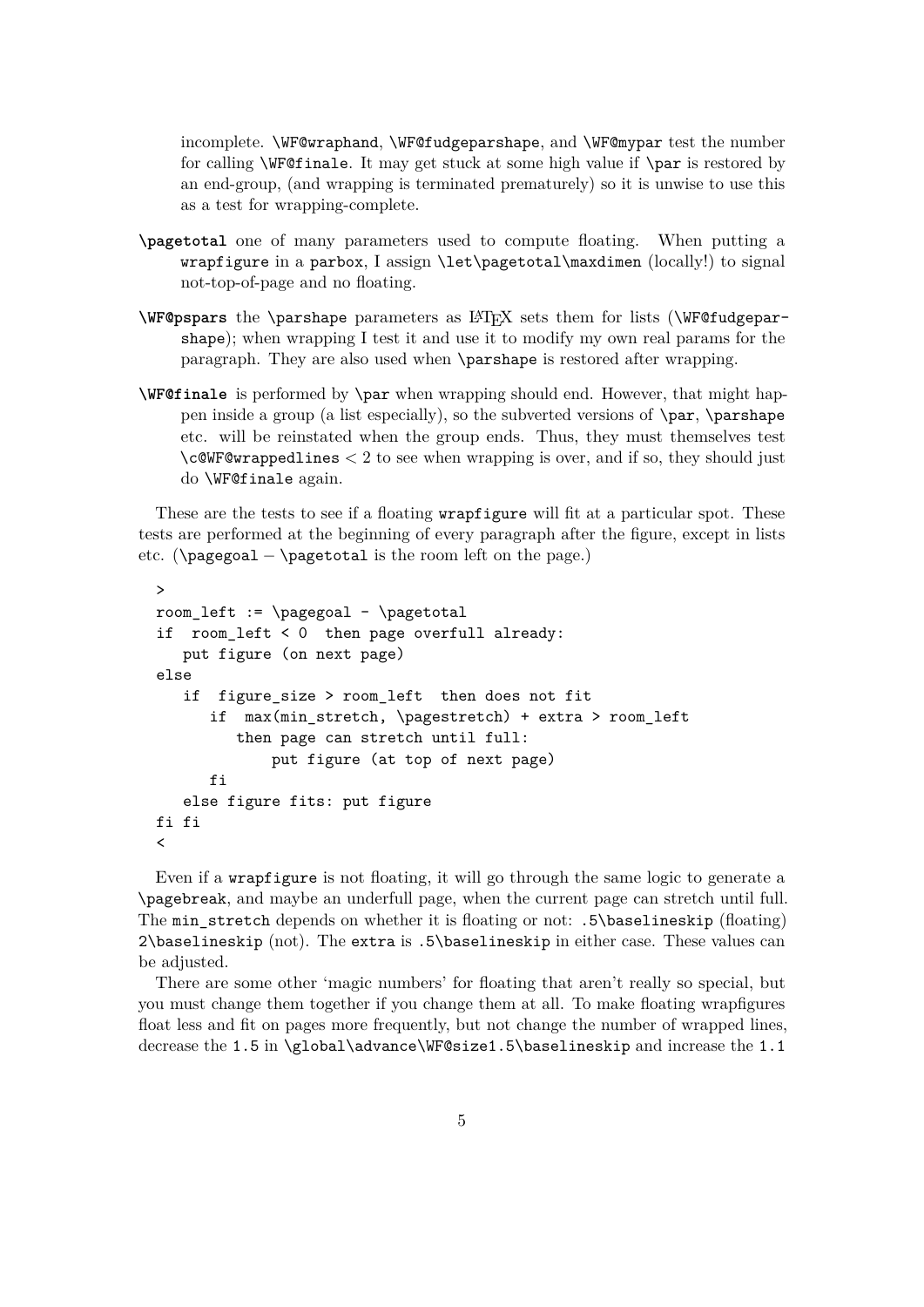incomplete. \WF@wraphand, \WF@fudgeparshape, and \WF@mypar test the number for calling \WF@finale. It may get stuck at some high value if \par is restored by an end-group, (and wrapping is terminated prematurely) so it is unwise to use this as a test for wrapping-complete.

- **\pagetotal** one of many parameters used to compute floating. When putting a wrapfigure in a parbox, I assign \let\pagetotal\maxdimen (locally!) to signal not-top-of-page and no floating.
- **\WF@pspars** the \parshape parameters as LATEX sets them for lists (\WF@fudgeparshape); when wrapping I test it and use it to modify my own real params for the paragraph. They are also used when \parshape is restored after wrapping.
- **\WF@finale** is performed by \par when wrapping should end. However, that might happen inside a group (a list especially), so the subverted versions of \par, \parshape etc. will be reinstated when the group ends. Thus, they must themselves test \c@WF@wrappedlines *<* 2 to see when wrapping is over, and if so, they should just do \WF@finale again.

These are the tests to see if a floating **wrapfigure** will fit at a particular spot. These tests are performed at the beginning of every paragraph after the figure, except in lists etc. ( $\text{pagegoal} - \text{pagetotal}$  is the room left on the page.)

```
>
room_left := \pageqoal - \pagetotalif room_left < 0 then page overfull already:
   put figure (on next page)
else
   if figure size > room left then does not fit
      if max(min_stretch, \pagestretch) + extra > room_left
         then page can stretch until full:
              put figure (at top of next page)
      fi
   else figure fits: put figure
fi fi
\overline{\phantom{a}}
```
Even if a wrapfigure is not floating, it will go through the same logic to generate a \pagebreak, and maybe an underfull page, when the current page can stretch until full. The min\_stretch depends on whether it is floating or not: .5\baselineskip (floating) 2\baselineskip (not). The extra is .5\baselineskip in either case. These values can be adjusted.

There are some other 'magic numbers' for floating that aren't really so special, but you must change them together if you change them at all. To make floating wrapfigures float less and fit on pages more frequently, but not change the number of wrapped lines, decrease the 1.5 in \global\advance\WF@size1.5\baselineskip and increase the 1.1